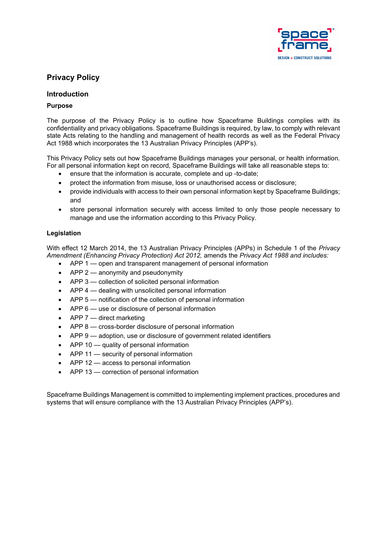

# **Privacy Policy**

# **Introduction**

# **Purpose**

The purpose of the Privacy Policy is to outline how Spaceframe Buildings complies with its confidentiality and privacy obligations. Spaceframe Buildings is required, by law, to comply with relevant state Acts relating to the handling and management of health records as well as the Federal Privacy Act 1988 which incorporates the 13 Australian Privacy Principles (APP's).

This Privacy Policy sets out how Spaceframe Buildings manages your personal, or health information. For all personal information kept on record, Spaceframe Buildings will take all reasonable steps to:

- ensure that the information is accurate, complete and up -to-date;
- protect the information from misuse, loss or unauthorised access or disclosure;
- provide individuals with access to their own personal information kept by Spaceframe Buildings; and
- store personal information securely with access limited to only those people necessary to manage and use the information according to this Privacy Policy.

# **Legislation**

With effect 12 March 2014, the 13 Australian Privacy Principles (APPs) in Schedule 1 of the *Privacy Amendment (Enhancing Privacy Protection) Act 2012,* amends the *Privacy Act 1988 and includes:*

- APP 1 open and transparent management of personal information
- APP 2 anonymity and pseudonymity
- APP 3 collection of solicited personal information
- APP 4 dealing with unsolicited personal information
- APP 5 notification of the collection of personal information
- APP 6 use or disclosure of personal information
- APP 7 direct marketing
- APP 8 cross-border disclosure of personal information
- APP 9 adoption, use or disclosure of government related identifiers
- APP 10 quality of personal information
- APP 11 security of personal information
- APP 12 access to personal information
- APP 13 correction of personal information

Spaceframe Buildings Management is committed to implementing implement practices, procedures and systems that will ensure compliance with the 13 Australian Privacy Principles (APP's).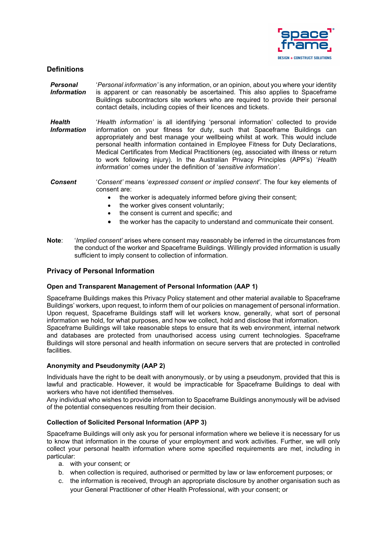

# **Definitions**

- *Personal Information* '*Personal information'* is any information, or an opinion, about you where your identity is apparent or can reasonably be ascertained. This also applies to Spaceframe Buildings subcontractors site workers who are required to provide their personal contact details, including copies of their licences and tickets.
- *Health Information* '*Health information'* is all identifying 'personal information' collected to provide information on your fitness for duty, such that Spaceframe Buildings can appropriately and best manage your wellbeing whilst at work. This would include personal health information contained in Employee Fitness for Duty Declarations, Medical Certificates from Medical Practitioners (eg, associated with illness or return to work following injury). In the Australian Privacy Principles (APP's) '*Health information'* comes under the definition of '*sensitive information'*.

*Consent* '*Consent'* means '*expressed consent or implied consent'*. The four key elements of consent are:

- the worker is adequately informed before giving their consent:
- the worker gives consent voluntarily;
- the consent is current and specific; and
- the worker has the capacity to understand and communicate their consent.
- **Note**: '*Implied consent'* arises where consent may reasonably be inferred in the circumstances from the conduct of the worker and Spaceframe Buildings. Willingly provided information is usually sufficient to imply consent to collection of information.

# **Privacy of Personal Information**

### **Open and Transparent Management of Personal Information (AAP 1)**

Spaceframe Buildings makes this Privacy Policy statement and other material available to Spaceframe Buildings' workers, upon request, to inform them of our policies on management of personal information. Upon request, Spaceframe Buildings staff will let workers know, generally, what sort of personal information we hold, for what purposes, and how we collect, hold and disclose that information.

Spaceframe Buildings will take reasonable steps to ensure that its web environment, internal network and databases are protected from unauthorised access using current technologies. Spaceframe Buildings will store personal and health information on secure servers that are protected in controlled facilities.

# **Anonymity and Pseudonymity (AAP 2)**

Individuals have the right to be dealt with anonymously, or by using a pseudonym, provided that this is lawful and practicable. However, it would be impracticable for Spaceframe Buildings to deal with workers who have not identified themselves.

Any individual who wishes to provide information to Spaceframe Buildings anonymously will be advised of the potential consequences resulting from their decision.

# **Collection of Solicited Personal Information (APP 3)**

Spaceframe Buildings will only ask you for personal information where we believe it is necessary for us to know that information in the course of your employment and work activities. Further, we will only collect your personal health information where some specified requirements are met, including in particular:

- a. with your consent; or
- b. when collection is required, authorised or permitted by law or law enforcement purposes; or
- c. the information is received, through an appropriate disclosure by another organisation such as your General Practitioner of other Health Professional, with your consent; or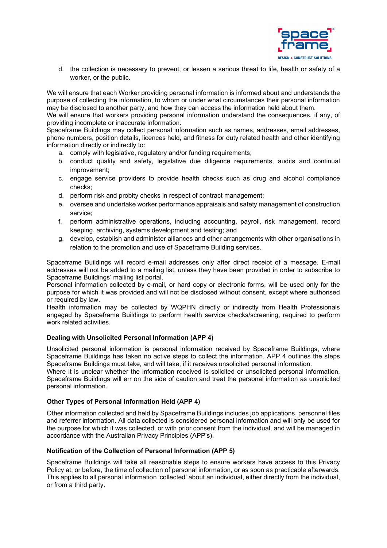

d. the collection is necessary to prevent, or lessen a serious threat to life, health or safety of a worker, or the public.

We will ensure that each Worker providing personal information is informed about and understands the purpose of collecting the information, to whom or under what circumstances their personal information may be disclosed to another party, and how they can access the information held about them.

We will ensure that workers providing personal information understand the consequences, if any, of providing incomplete or inaccurate information.

Spaceframe Buildings may collect personal information such as names, addresses, email addresses, phone numbers, position details, licences held, and fitness for duty related health and other identifying information directly or indirectly to:

- a. comply with legislative, regulatory and/or funding requirements;
- b. conduct quality and safety, legislative due diligence requirements, audits and continual improvement;
- c. engage service providers to provide health checks such as drug and alcohol compliance checks;
- d. perform risk and probity checks in respect of contract management;
- e. oversee and undertake worker performance appraisals and safety management of construction service;
- f. perform administrative operations, including accounting, payroll, risk management, record keeping, archiving, systems development and testing; and
- g. develop, establish and administer alliances and other arrangements with other organisations in relation to the promotion and use of Spaceframe Building services.

Spaceframe Buildings will record e-mail addresses only after direct receipt of a message. E-mail addresses will not be added to a mailing list, unless they have been provided in order to subscribe to Spaceframe Buildings' mailing list portal.

Personal information collected by e-mail, or hard copy or electronic forms, will be used only for the purpose for which it was provided and will not be disclosed without consent, except where authorised or required by law.

Health information may be collected by WQPHN directly or indirectly from Health Professionals engaged by Spaceframe Buildings to perform health service checks/screening, required to perform work related activities.

# **Dealing with Unsolicited Personal Information (APP 4)**

Unsolicited personal information is personal information received by Spaceframe Buildings, where Spaceframe Buildings has taken no active steps to collect the information. APP 4 outlines the steps Spaceframe Buildings must take, and will take, if it receives unsolicited personal information.

Where it is unclear whether the information received is solicited or unsolicited personal information, Spaceframe Buildings will err on the side of caution and treat the personal information as unsolicited personal information.

### **Other Types of Personal Information Held (APP 4)**

Other information collected and held by Spaceframe Buildings includes job applications, personnel files and referrer information. All data collected is considered personal information and will only be used for the purpose for which it was collected, or with prior consent from the individual, and will be managed in accordance with the Australian Privacy Principles (APP's).

### **Notification of the Collection of Personal Information (APP 5)**

Spaceframe Buildings will take all reasonable steps to ensure workers have access to this Privacy Policy at, or before, the time of collection of personal information, or as soon as practicable afterwards. This applies to all personal information 'collected' about an individual, either directly from the individual, or from a third party.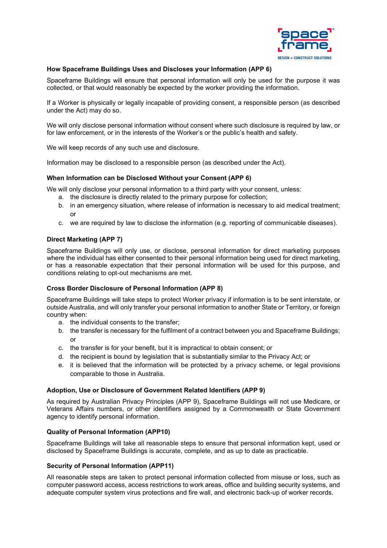

# **How Spaceframe Buildings Uses and Discloses your Information (APP 6)**

Spaceframe Buildings will ensure that personal information will only be used for the purpose it was collected, or that would reasonably be expected by the worker providing the information.

If a Worker is physically or legally incapable of providing consent, a responsible person (as described under the Act) may do so.

We will only disclose personal information without consent where such disclosure is required by law, or for law enforcement, or in the interests of the Worker's or the public's health and safety.

We will keep records of any such use and disclosure.

Information may be disclosed to a responsible person (as described under the Act).

### **When Information can be Disclosed Without your Consent (APP 6)**

We will only disclose your personal information to a third party with your consent, unless:

- a. the disclosure is directly related to the primary purpose for collection;
- b. in an emergency situation, where release of information is necessary to aid medical treatment; or
- c. we are required by law to disclose the information (e.g. reporting of communicable diseases).

# **Direct Marketing (APP 7)**

Spaceframe Buildings will only use, or disclose, personal information for direct marketing purposes where the individual has either consented to their personal information being used for direct marketing, or has a reasonable expectation that their personal information will be used for this purpose, and conditions relating to opt-out mechanisms are met.

# **Cross Border Disclosure of Personal Information (APP 8)**

Spaceframe Buildings will take steps to protect Worker privacy if information is to be sent interstate, or outside Australia, and will only transfer your personal information to another State or Territory, or foreign country when:

- a. the individual consents to the transfer;
- b. the transfer is necessary for the fulfilment of a contract between you and Spaceframe Buildings; or
- c. the transfer is for your benefit, but it is impractical to obtain consent; or
- d. the recipient is bound by legislation that is substantially similar to the Privacy Act; or
- e. it is believed that the information will be protected by a privacy scheme, or legal provisions comparable to those in Australia.

### **Adoption, Use or Disclosure of Government Related Identifiers (APP 9)**

As required by Australian Privacy Principles (APP 9), Spaceframe Buildings will not use Medicare, or Veterans Affairs numbers, or other identifiers assigned by a Commonwealth or State Government agency to identify personal information.

### **Quality of Personal Information (APP10)**

Spaceframe Buildings will take all reasonable steps to ensure that personal information kept, used or disclosed by Spaceframe Buildings is accurate, complete, and as up to date as practicable.

### **Security of Personal Information (APP11)**

All reasonable steps are taken to protect personal information collected from misuse or loss, such as computer password access, access restrictions to work areas, office and building security systems, and adequate computer system virus protections and fire wall, and electronic back-up of worker records.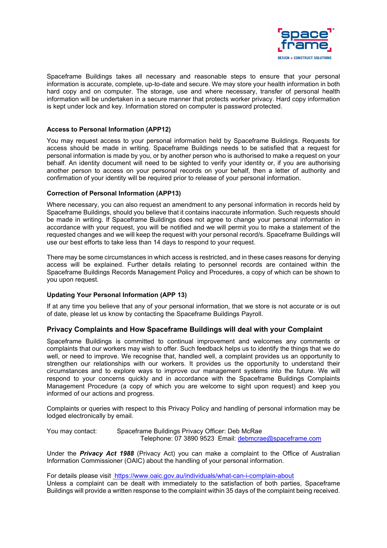

Spaceframe Buildings takes all necessary and reasonable steps to ensure that your personal information is accurate, complete, up-to-date and secure. We may store your health information in both hard copy and on computer. The storage, use and where necessary, transfer of personal health information will be undertaken in a secure manner that protects worker privacy. Hard copy information is kept under lock and key. Information stored on computer is password protected.

### **Access to Personal Information (APP12)**

You may request access to your personal information held by Spaceframe Buildings. Requests for access should be made in writing. Spaceframe Buildings needs to be satisfied that a request for personal information is made by you, or by another person who is authorised to make a request on your behalf. An identity document will need to be sighted to verify your identity or, if you are authorising another person to access on your personal records on your behalf, then a letter of authority and confirmation of your identity will be required prior to release of your personal information.

### **Correction of Personal Information (APP13)**

Where necessary, you can also request an amendment to any personal information in records held by Spaceframe Buildings, should you believe that it contains inaccurate information. Such requests should be made in writing. If Spaceframe Buildings does not agree to change your personal information in accordance with your request, you will be notified and we will permit you to make a statement of the requested changes and we will keep the request with your personal record/s. Spaceframe Buildings will use our best efforts to take less than 14 days to respond to your request.

There may be some circumstances in which access is restricted, and in these cases reasons for denying access will be explained. Further details relating to personnel records are contained within the Spaceframe Buildings Records Management Policy and Procedures, a copy of which can be shown to you upon request.

# **Updating Your Personal Information (APP 13)**

If at any time you believe that any of your personal information, that we store is not accurate or is out of date, please let us know by contacting the Spaceframe Buildings Payroll.

# **Privacy Complaints and How Spaceframe Buildings will deal with your Complaint**

Spaceframe Buildings is committed to continual improvement and welcomes any comments or complaints that our workers may wish to offer. Such feedback helps us to identify the things that we do well, or need to improve. We recognise that, handled well, a complaint provides us an opportunity to strengthen our relationships with our workers. It provides us the opportunity to understand their circumstances and to explore ways to improve our management systems into the future. We will respond to your concerns quickly and in accordance with the Spaceframe Buildings Complaints Management Procedure (a copy of which you are welcome to sight upon request) and keep you informed of our actions and progress.

Complaints or queries with respect to this Privacy Policy and handling of personal information may be lodged electronically by email.

You may contact: Spaceframe Buildings Privacy Officer: Deb McRae Telephone: 07 3890 9523 Email: [debmcrae@spaceframe.com](mailto:debmcrae@spaceframe.com)

Under the *Privacy Act 1988* (Privacy Act) you can make a complaint to the Office of Australian Information Commissioner (OAIC) about the handling of your personal information.

For details please visit<https://www.oaic.gov.au/individuals/what-can-i-complain-about> Unless a complaint can be dealt with immediately to the satisfaction of both parties, Spaceframe Buildings will provide a written response to the complaint within 35 days of the complaint being received.